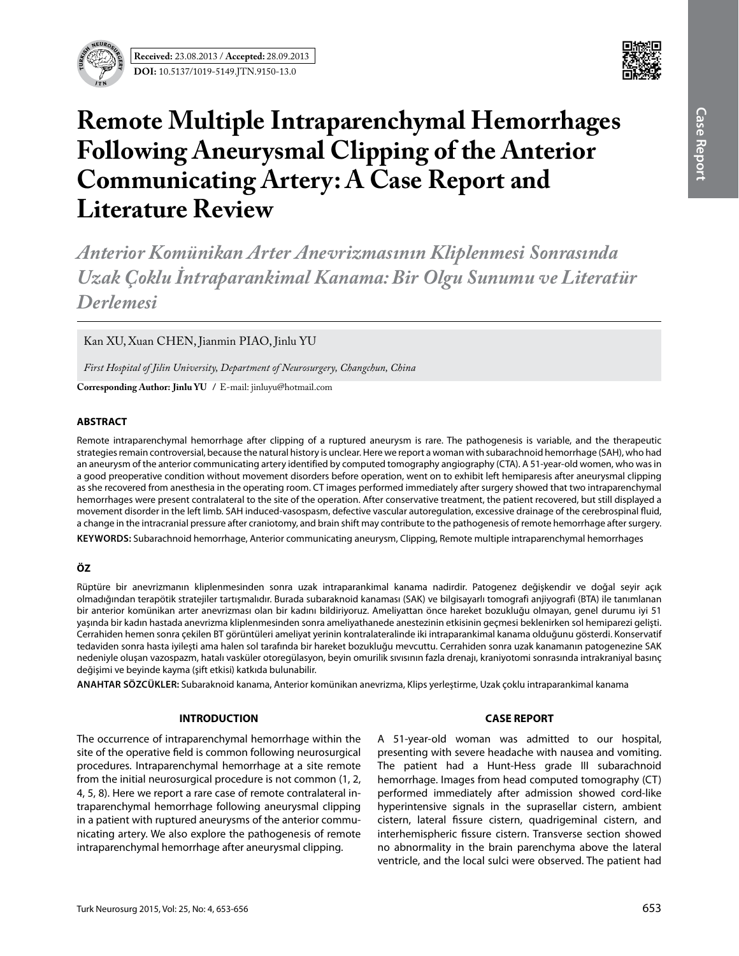

# **Remote Multiple Intraparenchymal Hemorrhages Following Aneurysmal Clipping of the Anterior Communicating Artery: A Case Report and Literature Review**

*Anterior Komünikan Arter Anevrizmasının Kliplenmesi Sonrasında Uzak Çoklu İntraparankimal Kanama: Bir Olgu Sunumu ve Literatür Derlemesi*

Kan XU, Xuan CHEN, Jianmin PIAO, Jinlu YU

*First Hospital of Jilin University, Department of Neurosurgery, Changchun, China*

**Corresponding Author: Jinlu Yu /** E-mail: jinluyu@hotmail.com

### **ABSTRACT**

Remote intraparenchymal hemorrhage after clipping of a ruptured aneurysm is rare. The pathogenesis is variable, and the therapeutic strategies remain controversial, because the natural history is unclear. Here we report a woman with subarachnoid hemorrhage (SAH), who had an aneurysm of the anterior communicating artery identified by computed tomography angiography (CTA). A 51-year-old women, who was in a good preoperative condition without movement disorders before operation, went on to exhibit left hemiparesis after aneurysmal clipping as she recovered from anesthesia in the operating room. CT images performed immediately after surgery showed that two intraparenchymal hemorrhages were present contralateral to the site of the operation. After conservative treatment, the patient recovered, but still displayed a movement disorder in the left limb. SAH induced-vasospasm, defective vascular autoregulation, excessive drainage of the cerebrospinal fluid, a change in the intracranial pressure after craniotomy, and brain shift may contribute to the pathogenesis of remote hemorrhage after surgery. **Keywords:** Subarachnoid hemorrhage, Anterior communicating aneurysm, Clipping, Remote multiple intraparenchymal hemorrhages

# **ÖZ**

Rüptüre bir anevrizmanın kliplenmesinden sonra uzak intraparankimal kanama nadirdir. Patogenez değişkendir ve doğal seyir açık olmadığından terapötik stratejiler tartışmalıdır. Burada subaraknoid kanaması (SAK) ve bilgisayarlı tomografi anjiyografi (BTA) ile tanımlanan bir anterior komünikan arter anevrizması olan bir kadını bildiriyoruz. Ameliyattan önce hareket bozukluğu olmayan, genel durumu iyi 51 yaşında bir kadın hastada anevrizma kliplenmesinden sonra ameliyathanede anestezinin etkisinin geçmesi beklenirken sol hemiparezi gelişti. Cerrahiden hemen sonra çekilen BT görüntüleri ameliyat yerinin kontralateralinde iki intraparankimal kanama olduğunu gösterdi. Konservatif tedaviden sonra hasta iyileşti ama halen sol tarafında bir hareket bozukluğu mevcuttu. Cerrahiden sonra uzak kanamanın patogenezine SAK nedeniyle oluşan vazospazm, hatalı vasküler otoregülasyon, beyin omurilik sıvısının fazla drenajı, kraniyotomi sonrasında intrakraniyal basınç değişimi ve beyinde kayma (şift etkisi) katkıda bulunabilir.

**ANAHTAR SÖZCÜKLER:** Subaraknoid kanama, Anterior komünikan anevrizma, Klips yerleştirme, Uzak çoklu intraparankimal kanama

# **INTRODUCTION**

The occurrence of intraparenchymal hemorrhage within the site of the operative field is common following neurosurgical procedures. Intraparenchymal hemorrhage at a site remote from the initial neurosurgical procedure is not common (1, 2, 4, 5, 8). Here we report a rare case of remote contralateral intraparenchymal hemorrhage following aneurysmal clipping in a patient with ruptured aneurysms of the anterior communicating artery. We also explore the pathogenesis of remote intraparenchymal hemorrhage after aneurysmal clipping.

# **CASE REPORT**

A 51-year-old woman was admitted to our hospital, presenting with severe headache with nausea and vomiting. The patient had a Hunt-Hess grade III subarachnoid hemorrhage. Images from head computed tomography (CT) performed immediately after admission showed cord-like hyperintensive signals in the suprasellar cistern, ambient cistern, lateral fissure cistern, quadrigeminal cistern, and interhemispheric fissure cistern. Transverse section showed no abnormality in the brain parenchyma above the lateral ventricle, and the local sulci were observed. The patient had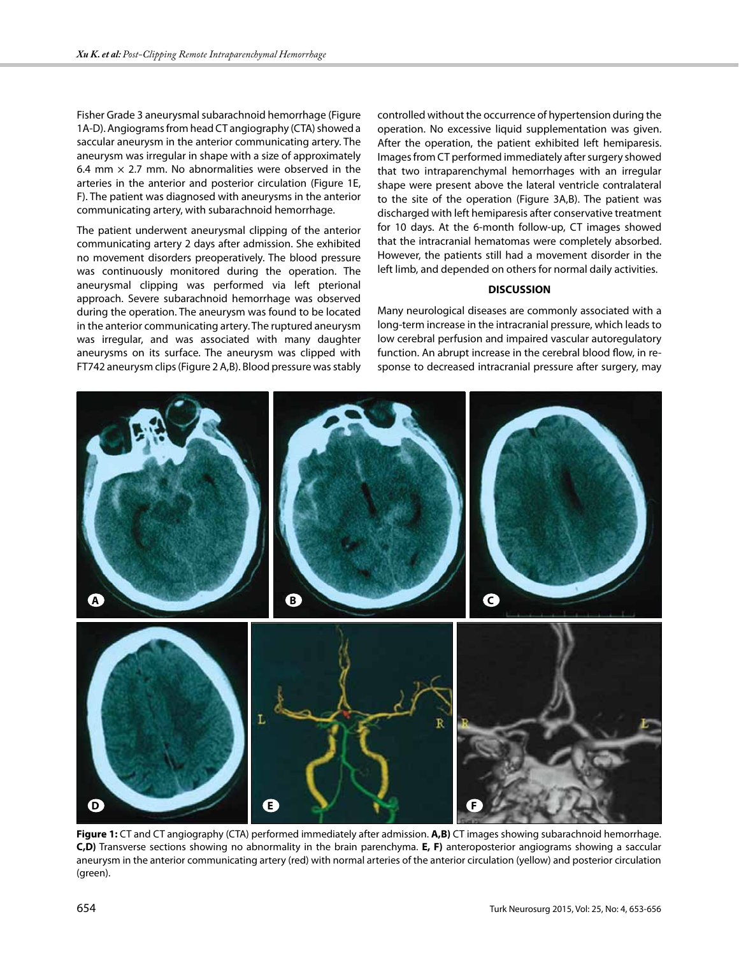Fisher Grade 3 aneurysmal subarachnoid hemorrhage (Figure 1A-D). Angiograms from head CT angiography (CTA) showed a saccular aneurysm in the anterior communicating artery. The aneurysm was irregular in shape with a size of approximately 6.4 mm  $\times$  2.7 mm. No abnormalities were observed in the arteries in the anterior and posterior circulation (Figure 1E, F). The patient was diagnosed with aneurysms in the anterior communicating artery, with subarachnoid hemorrhage.

The patient underwent aneurysmal clipping of the anterior communicating artery 2 days after admission. She exhibited no movement disorders preoperatively. The blood pressure was continuously monitored during the operation. The aneurysmal clipping was performed via left pterional approach. Severe subarachnoid hemorrhage was observed during the operation. The aneurysm was found to be located in the anterior communicating artery. The ruptured aneurysm was irregular, and was associated with many daughter aneurysms on its surface. The aneurysm was clipped with FT742 aneurysm clips (Figure 2 A,B). Blood pressure was stably

controlled without the occurrence of hypertension during the operation. No excessive liquid supplementation was given. After the operation, the patient exhibited left hemiparesis. Images from CT performed immediately after surgery showed that two intraparenchymal hemorrhages with an irregular shape were present above the lateral ventricle contralateral to the site of the operation (Figure 3A,B). The patient was discharged with left hemiparesis after conservative treatment for 10 days. At the 6-month follow-up, CT images showed that the intracranial hematomas were completely absorbed. However, the patients still had a movement disorder in the left limb, and depended on others for normal daily activities.

#### **DISCUSSION**

Many neurological diseases are commonly associated with a long-term increase in the intracranial pressure, which leads to low cerebral perfusion and impaired vascular autoregulatory function. An abrupt increase in the cerebral blood flow, in response to decreased intracranial pressure after surgery, may



**Figure 1:** CT and CT angiography (CTA) performed immediately after admission. **A,B)** CT images showing subarachnoid hemorrhage. **C,D)** Transverse sections showing no abnormality in the brain parenchyma. **E, F)** anteroposterior angiograms showing a saccular aneurysm in the anterior communicating artery (red) with normal arteries of the anterior circulation (yellow) and posterior circulation (green).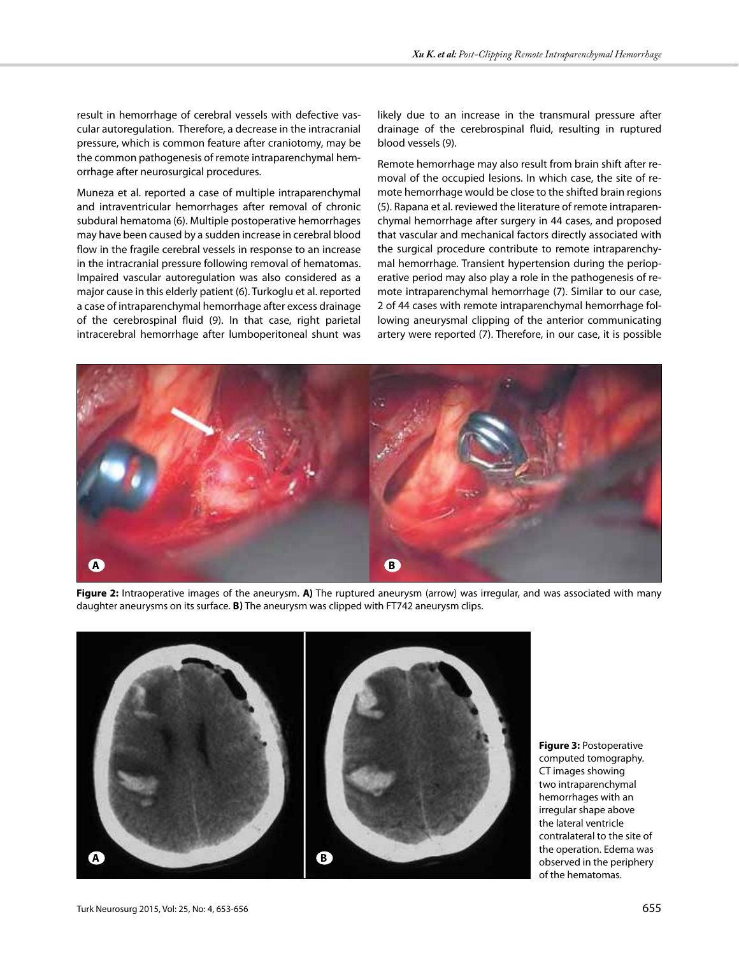result in hemorrhage of cerebral vessels with defective vascular autoregulation. Therefore, a decrease in the intracranial pressure, which is common feature after craniotomy, may be the common pathogenesis of remote intraparenchymal hemorrhage after neurosurgical procedures.

Muneza et al. reported a case of multiple intraparenchymal and intraventricular hemorrhages after removal of chronic subdural hematoma (6). Multiple postoperative hemorrhages may have been caused by a sudden increase in cerebral blood flow in the fragile cerebral vessels in response to an increase in the intracranial pressure following removal of hematomas. Impaired vascular autoregulation was also considered as a major cause in this elderly patient (6). Turkoglu et al. reported a case of intraparenchymal hemorrhage after excess drainage of the cerebrospinal fluid (9). In that case, right parietal intracerebral hemorrhage after lumboperitoneal shunt was likely due to an increase in the transmural pressure after drainage of the cerebrospinal fluid, resulting in ruptured blood vessels (9).

Remote hemorrhage may also result from brain shift after removal of the occupied lesions. In which case, the site of remote hemorrhage would be close to the shifted brain regions (5). Rapana et al. reviewed the literature of remote intraparenchymal hemorrhage after surgery in 44 cases, and proposed that vascular and mechanical factors directly associated with the surgical procedure contribute to remote intraparenchymal hemorrhage. Transient hypertension during the perioperative period may also play a role in the pathogenesis of remote intraparenchymal hemorrhage (7). Similar to our case, 2 of 44 cases with remote intraparenchymal hemorrhage following aneurysmal clipping of the anterior communicating artery were reported (7). Therefore, in our case, it is possible



**Figure 2:** Intraoperative images of the aneurysm. **A)** The ruptured aneurysm (arrow) was irregular, and was associated with many daughter aneurysms on its surface. **B)** The aneurysm was clipped with FT742 aneurysm clips.



**Figure 3:** Postoperative computed tomography. CT images showing two intraparenchymal hemorrhages with an irregular shape above the lateral ventricle contralateral to the site of the operation. Edema was observed in the periphery of the hematomas.